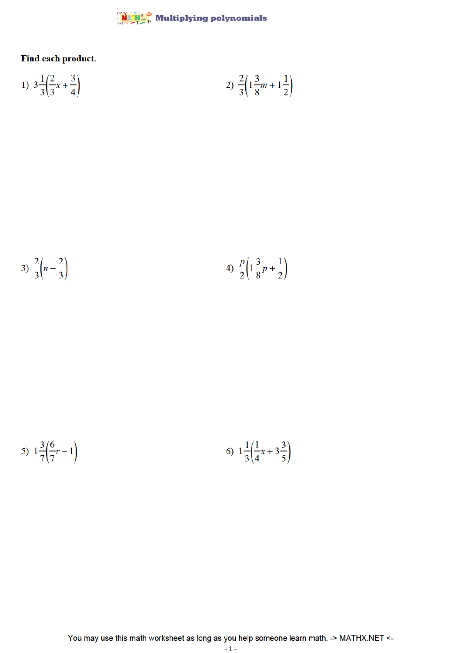## $\frac{\text{MAPH}^*}{\text{MAPH}}$  Multiplying polynomials

Find each product.

1) 
$$
3\frac{1}{3}\left(\frac{2}{3}x + \frac{3}{4}\right)
$$
  
2)  $\frac{2}{3}\left(1\frac{3}{8}m + 1\frac{1}{2}\right)$ 

3) 
$$
\frac{2}{3} \left(n - \frac{2}{3}\right)
$$
 4)  $\frac{p}{2} \left(1 \frac{3}{8}p + \frac{1}{2}\right)$ 

5) 
$$
1\frac{3}{7}\left(\frac{6}{7}r-1\right)
$$
 6)  $1\frac{1}{3}\left(\frac{1}{4}x+3\frac{3}{5}\right)$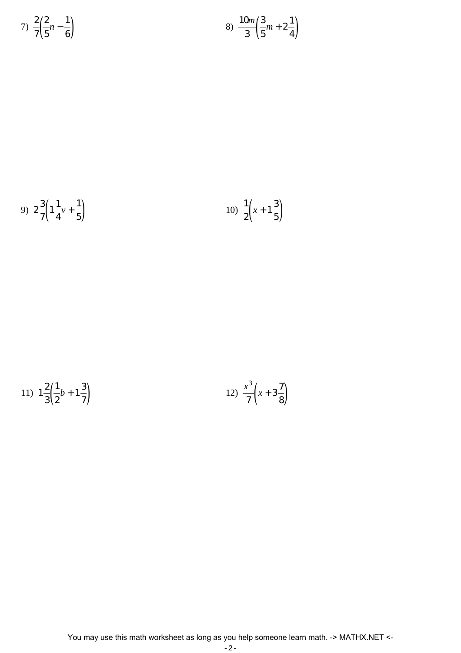7) 
$$
\frac{2}{7} \left(\frac{2}{5}n - \frac{1}{6}\right)
$$
 8)  $\frac{10m}{3} \left(\frac{3}{5}m + 2\frac{1}{4}\right)$ 

 $\frac{1}{4}$ 

9) 
$$
2\frac{3}{7}\left(1\frac{1}{4}v+\frac{1}{5}\right)
$$
 10)  $\frac{1}{2}\left(x+1\frac{3}{5}\right)$ 

11) 
$$
1\frac{2}{3}\left(\frac{1}{2}b+1\frac{3}{7}\right)
$$
 12)  $\frac{x^3}{7}\left(x+3\frac{7}{8}\right)$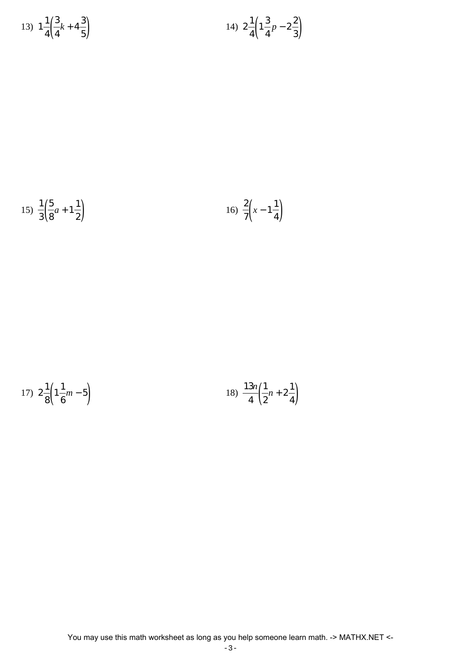13) 
$$
1\frac{1}{4}\left(\frac{3}{4}k+4\frac{3}{5}\right)
$$
 14)  $2\frac{1}{4}\left(1\frac{3}{4}p-2\frac{2}{3}\right)$ 

15) 
$$
\frac{1}{3} \left( \frac{5}{8} a + 1 \frac{1}{2} \right)
$$
 16)  $\frac{2}{7} \left( x - 1 \frac{1}{4} \right)$ 

17) 
$$
2\frac{1}{8}\left(1\frac{1}{6}m-5\right)
$$
 18)  $\frac{13n}{4}\left(\frac{1}{2}n+2\frac{1}{4}\right)$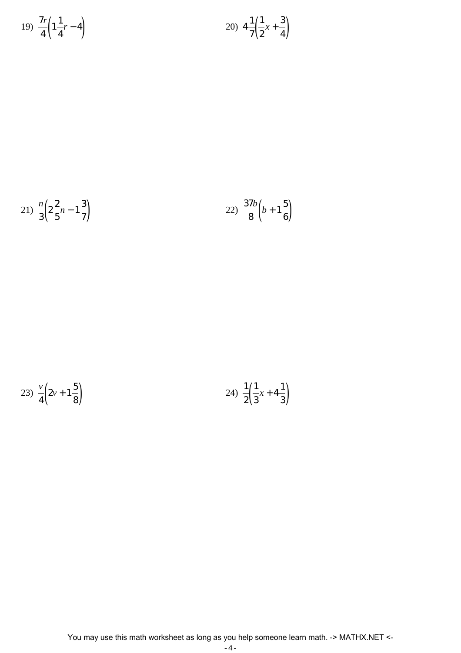$$
19) \frac{7r}{4} \left( 1 \frac{1}{4}r - 4 \right) \tag{20} \frac{4}{7} \left( \frac{1}{2}x + \frac{3}{4} \right)
$$

21) 
$$
\frac{n}{3} \left( 2\frac{2}{5}n - 1\frac{3}{7} \right)
$$
 22)  $\frac{37b}{8} \left( b + 1\frac{5}{6} \right)$ 

$$
23) \frac{v}{4} \left( 2v + 1\frac{5}{8} \right) \tag{24} \frac{1}{2} \left( \frac{1}{3}x + 4\frac{1}{3} \right)
$$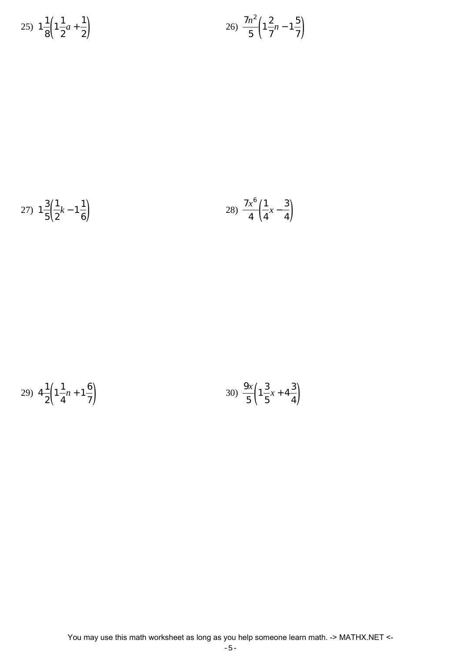$$
25) \ 1\frac{1}{8}\left(1\frac{1}{2}a + \frac{1}{2}\right) \n\hspace{3.1cm} 26) \ \frac{7n^2}{5}\left(1\frac{2}{7}n - 1\frac{5}{7}\right)
$$

27) 
$$
1\frac{3}{5}\left(\frac{1}{2}k-1\frac{1}{6}\right)
$$
   
28)  $\frac{7x^6}{4}\left(\frac{1}{4}x-\frac{3}{4}\right)$ 

29) 
$$
4\frac{1}{2}\left(1\frac{1}{4}n+1\frac{6}{7}\right)
$$
   
30)  $\frac{9x}{5}\left(1\frac{3}{5}x+4\frac{3}{4}\right)$